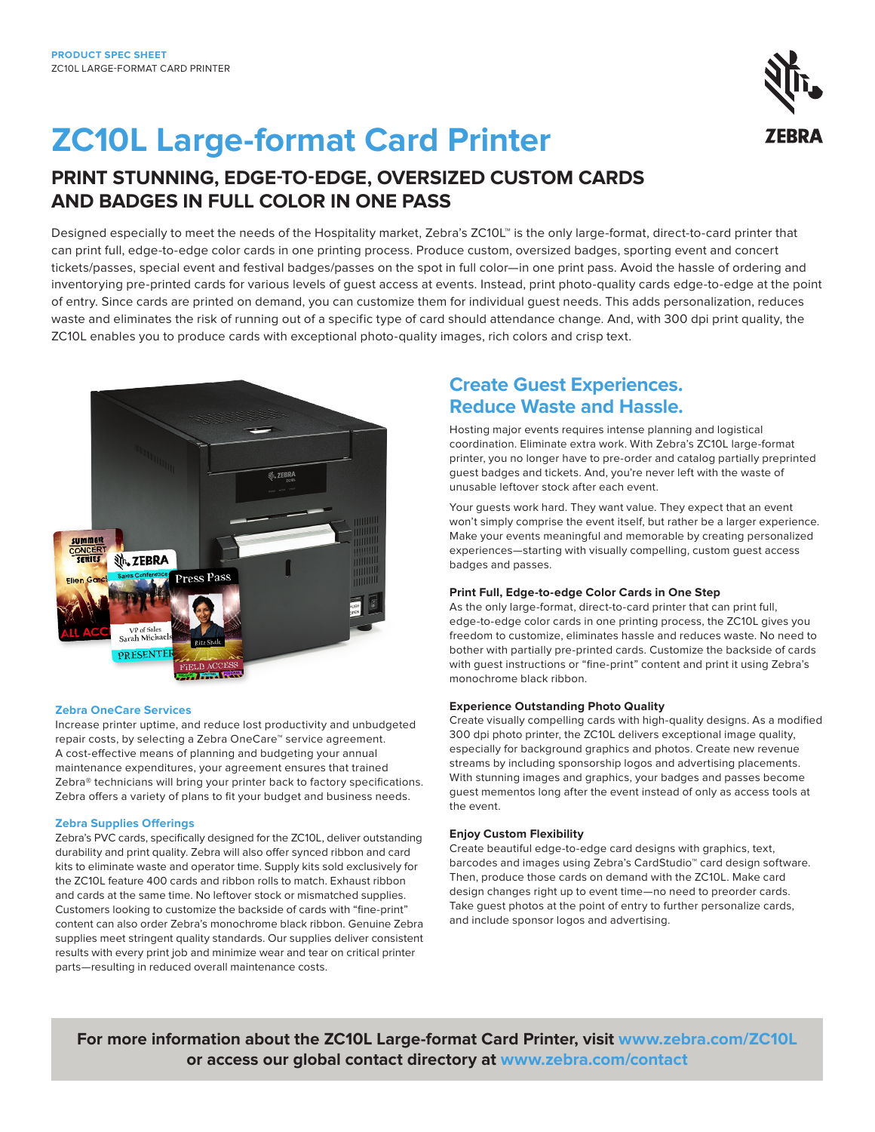# **ZC10L Large-format Card Printer**

## **PRINT STUNNING, EDGE-TO-EDGE, OVERSIZED CUSTOM CARDS AND BADGES IN FULL COLOR IN ONE PASS**

Designed especially to meet the needs of the Hospitality market, Zebra's ZC10L™ is the only large-format, direct-to-card printer that can print full, edge-to-edge color cards in one printing process. Produce custom, oversized badges, sporting event and concert tickets/passes, special event and festival badges/passes on the spot in full color—in one print pass. Avoid the hassle of ordering and inventorying pre-printed cards for various levels of guest access at events. Instead, print photo-quality cards edge-to-edge at the point of entry. Since cards are printed on demand, you can customize them for individual guest needs. This adds personalization, reduces waste and eliminates the risk of running out of a specific type of card should attendance change. And, with 300 dpi print quality, the ZC10L enables you to produce cards with exceptional photo-quality images, rich colors and crisp text.



#### **Zebra OneCare Services**

Increase printer uptime, and reduce lost productivity and unbudgeted repair costs, by selecting a Zebra OneCare™ service agreement. A cost-effective means of planning and budgeting your annual maintenance expenditures, your agreement ensures that trained Zebra® technicians will bring your printer back to factory specifications. Zebra offers a variety of plans to fit your budget and business needs.

#### **Zebra Supplies Offerings**

Zebra's PVC cards, specifically designed for the ZC10L, deliver outstanding durability and print quality. Zebra will also offer synced ribbon and card kits to eliminate waste and operator time. Supply kits sold exclusively for the ZC10L feature 400 cards and ribbon rolls to match. Exhaust ribbon and cards at the same time. No leftover stock or mismatched supplies. Customers looking to customize the backside of cards with "fine-print" content can also order Zebra's monochrome black ribbon. Genuine Zebra supplies meet stringent quality standards. Our supplies deliver consistent results with every print job and minimize wear and tear on critical printer parts—resulting in reduced overall maintenance costs.

## **Create Guest Experiences. Reduce Waste and Hassle.**

Hosting major events requires intense planning and logistical coordination. Eliminate extra work. With Zebra's ZC10L large-format printer, you no longer have to pre-order and catalog partially preprinted guest badges and tickets. And, you're never left with the waste of unusable leftover stock after each event.

Your guests work hard. They want value. They expect that an event won't simply comprise the event itself, but rather be a larger experience. Make your events meaningful and memorable by creating personalized experiences—starting with visually compelling, custom guest access badges and passes.

#### **Print Full, Edge-to-edge Color Cards in One Step**

As the only large-format, direct-to-card printer that can print full, edge-to-edge color cards in one printing process, the ZC10L gives you freedom to customize, eliminates hassle and reduces waste. No need to bother with partially pre-printed cards. Customize the backside of cards with guest instructions or "fine-print" content and print it using Zebra's monochrome black ribbon.

#### **Experience Outstanding Photo Quality**

Create visually compelling cards with high-quality designs. As a modified 300 dpi photo printer, the ZC10L delivers exceptional image quality, especially for background graphics and photos. Create new revenue streams by including sponsorship logos and advertising placements. With stunning images and graphics, your badges and passes become guest mementos long after the event instead of only as access tools at the event.

#### **Enjoy Custom Flexibility**

Create beautiful edge-to-edge card designs with graphics, text, barcodes and images using Zebra's CardStudio™ card design software. Then, produce those cards on demand with the ZC10L. Make card design changes right up to event time—no need to preorder cards. Take guest photos at the point of entry to further personalize cards, and include sponsor logos and advertising.

**For more information about the ZC10L Large-format Card Printer, visit [www.zebra.com/ZC10L](http://www.zebra.com/ZC10L) or access our global contact directory at [www.zebra.com/contact](https://www.zebra.com/us/en/about-zebra/contact-us/contact-zebra.html)**